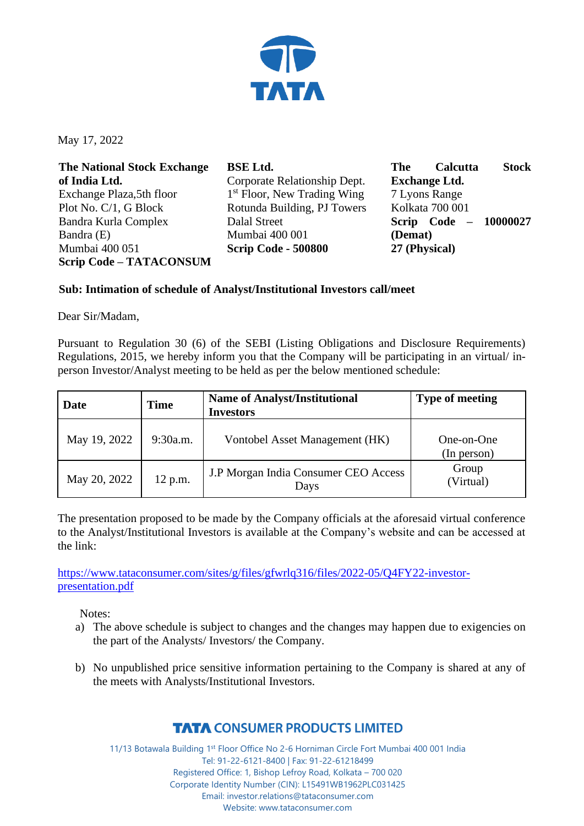

May 17, 2022

| <b>The National Stock Exchange</b> | <b>BSE Ltd.</b>                         | <b>Stock</b><br><b>Calcutta</b><br><b>The</b> |
|------------------------------------|-----------------------------------------|-----------------------------------------------|
| of India Ltd.                      | Corporate Relationship Dept.            | <b>Exchange Ltd.</b>                          |
| Exchange Plaza, 5th floor          | 1 <sup>st</sup> Floor, New Trading Wing | 7 Lyons Range                                 |
| Plot No. C/1, G Block              | Rotunda Building, PJ Towers             | Kolkata 700 001                               |
| Bandra Kurla Complex               | Dalal Street                            | Scrip Code - 10000027                         |
| Bandra (E)                         | Mumbai 400 001                          | (Demat)                                       |
| Mumbai 400 051                     | <b>Scrip Code - 500800</b>              | 27 (Physical)                                 |
| <b>Scrip Code - TATACONSUM</b>     |                                         |                                               |

## **Sub: Intimation of schedule of Analyst/Institutional Investors call/meet**

Dear Sir/Madam,

Pursuant to Regulation 30 (6) of the SEBI (Listing Obligations and Disclosure Requirements) Regulations, 2015, we hereby inform you that the Company will be participating in an virtual/ inperson Investor/Analyst meeting to be held as per the below mentioned schedule:

| Date         | Time     | <b>Name of Analyst/Institutional</b><br><b>Investors</b> | <b>Type of meeting</b>    |
|--------------|----------|----------------------------------------------------------|---------------------------|
| May 19, 2022 | 9:30a.m. | Vontobel Asset Management (HK)                           | One-on-One<br>(In person) |
| May 20, 2022 | 12 p.m.  | J.P Morgan India Consumer CEO Access<br>Days             | Group<br>(Virtual)        |

The presentation proposed to be made by the Company officials at the aforesaid virtual conference to the Analyst/Institutional Investors is available at the Company's website and can be accessed at the link:

[https://www.tataconsumer.com/sites/g/files/gfwrlq316/files/2022-05/Q4FY22-investor](https://www.tataconsumer.com/sites/g/files/gfwrlq316/files/2022-05/Q4FY22-investor-presentation.pdf)[presentation.pdf](https://www.tataconsumer.com/sites/g/files/gfwrlq316/files/2022-05/Q4FY22-investor-presentation.pdf)

Notes:

- a) The above schedule is subject to changes and the changes may happen due to exigencies on the part of the Analysts/ Investors/ the Company.
- b) No unpublished price sensitive information pertaining to the Company is shared at any of the meets with Analysts/Institutional Investors.

## **TATA CONSUMER PRODUCTS LIMITED**

11/13 Botawala Building 1st Floor Office No 2-6 Horniman Circle Fort Mumbai 400 001 India Tel: 91-22-6121-8400 | Fax: 91-22-61218499 Registered Office: 1, Bishop Lefroy Road, Kolkata – 700 020 Corporate Identity Number (CIN): L15491WB1962PLC031425 Email: investor.relations@tataconsumer.com Website: www.tataconsumer.com